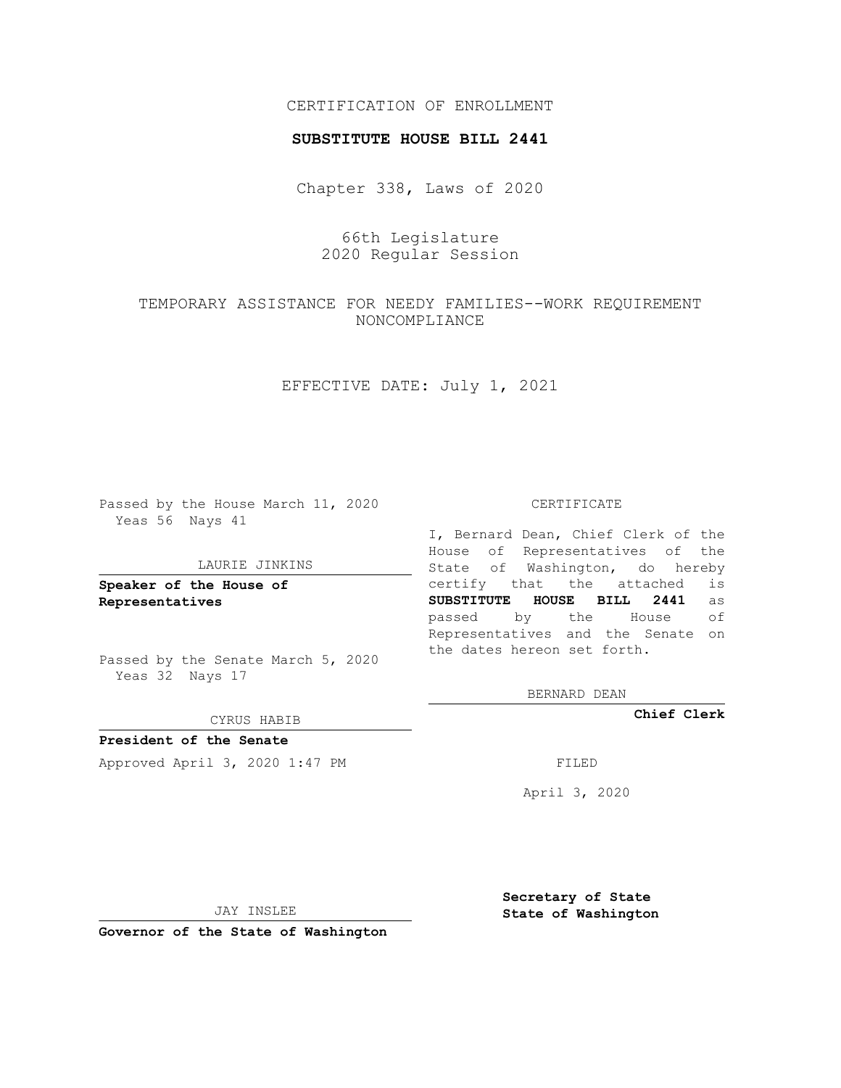## CERTIFICATION OF ENROLLMENT

### **SUBSTITUTE HOUSE BILL 2441**

Chapter 338, Laws of 2020

66th Legislature 2020 Regular Session

# TEMPORARY ASSISTANCE FOR NEEDY FAMILIES--WORK REQUIREMENT NONCOMPLIANCE

### EFFECTIVE DATE: July 1, 2021

Passed by the House March 11, 2020 Yeas 56 Nays 41

#### LAURIE JINKINS

**Speaker of the House of Representatives**

Passed by the Senate March 5, 2020 Yeas 32 Nays 17

#### CYRUS HABIB

**President of the Senate** Approved April 3, 2020 1:47 PM FILED

#### CERTIFICATE

I, Bernard Dean, Chief Clerk of the House of Representatives of the State of Washington, do hereby certify that the attached is **SUBSTITUTE HOUSE BILL 2441** as passed by the House of Representatives and the Senate on the dates hereon set forth.

BERNARD DEAN

**Chief Clerk**

April 3, 2020

JAY INSLEE

**Governor of the State of Washington**

**Secretary of State State of Washington**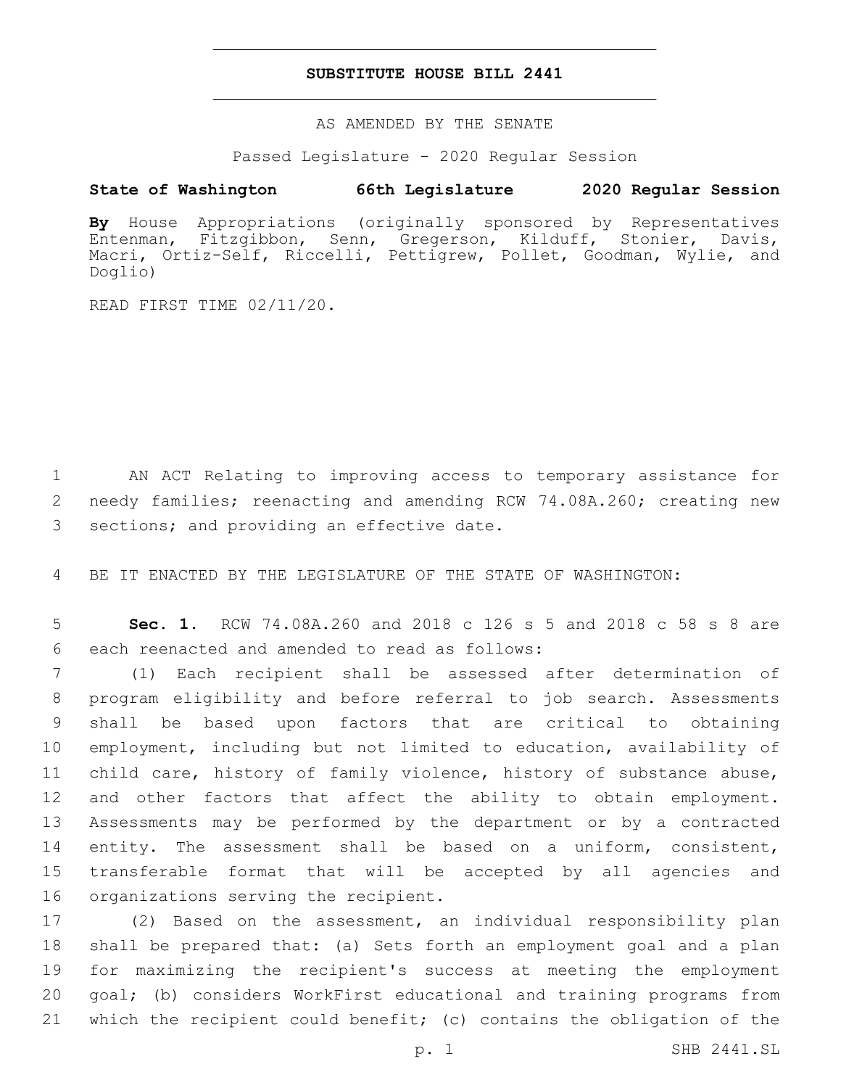### **SUBSTITUTE HOUSE BILL 2441**

AS AMENDED BY THE SENATE

Passed Legislature - 2020 Regular Session

# **State of Washington 66th Legislature 2020 Regular Session**

**By** House Appropriations (originally sponsored by Representatives Entenman, Fitzgibbon, Senn, Gregerson, Kilduff, Stonier, Davis, Macri, Ortiz-Self, Riccelli, Pettigrew, Pollet, Goodman, Wylie, and Doglio)

READ FIRST TIME 02/11/20.

1 AN ACT Relating to improving access to temporary assistance for 2 needy families; reenacting and amending RCW 74.08A.260; creating new 3 sections; and providing an effective date.

4 BE IT ENACTED BY THE LEGISLATURE OF THE STATE OF WASHINGTON:

5 **Sec. 1.** RCW 74.08A.260 and 2018 c 126 s 5 and 2018 c 58 s 8 are 6 each reenacted and amended to read as follows:

 (1) Each recipient shall be assessed after determination of program eligibility and before referral to job search. Assessments shall be based upon factors that are critical to obtaining employment, including but not limited to education, availability of child care, history of family violence, history of substance abuse, and other factors that affect the ability to obtain employment. Assessments may be performed by the department or by a contracted entity. The assessment shall be based on a uniform, consistent, transferable format that will be accepted by all agencies and 16 organizations serving the recipient.

 (2) Based on the assessment, an individual responsibility plan shall be prepared that: (a) Sets forth an employment goal and a plan for maximizing the recipient's success at meeting the employment goal; (b) considers WorkFirst educational and training programs from which the recipient could benefit; (c) contains the obligation of the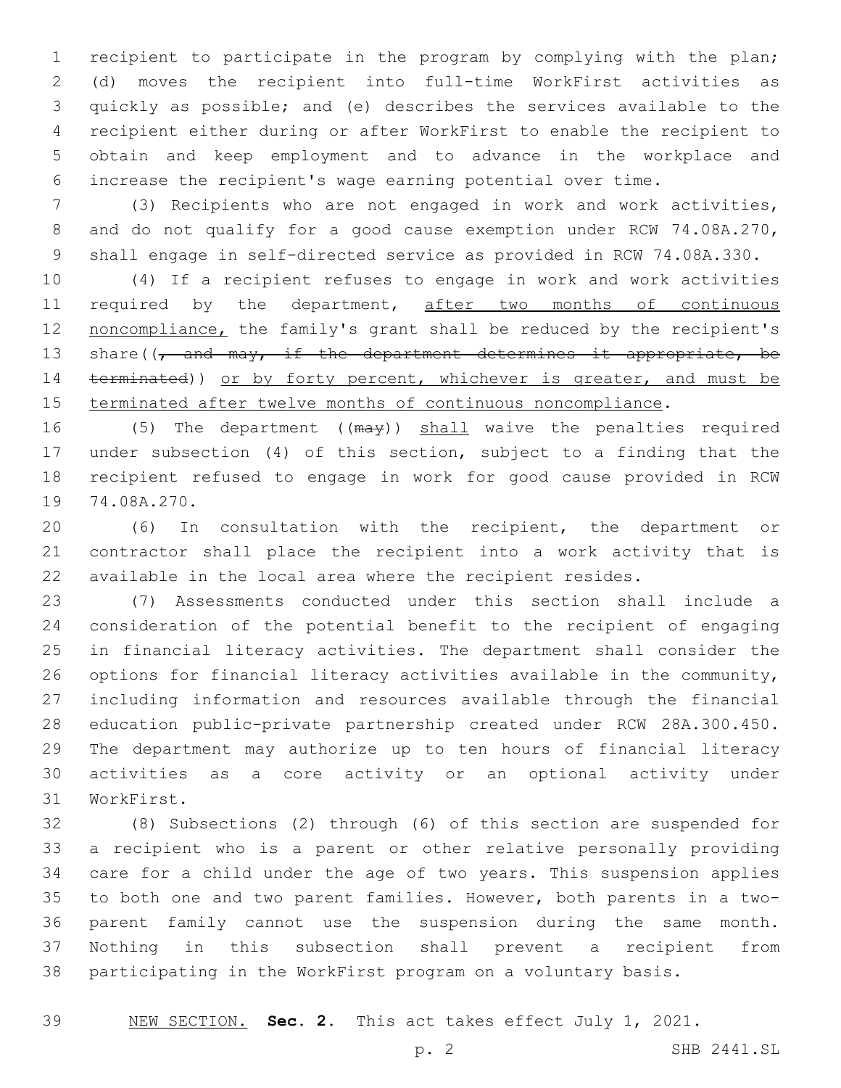recipient to participate in the program by complying with the plan; (d) moves the recipient into full-time WorkFirst activities as quickly as possible; and (e) describes the services available to the recipient either during or after WorkFirst to enable the recipient to obtain and keep employment and to advance in the workplace and increase the recipient's wage earning potential over time.

 (3) Recipients who are not engaged in work and work activities, and do not qualify for a good cause exemption under RCW 74.08A.270, shall engage in self-directed service as provided in RCW 74.08A.330.

 (4) If a recipient refuses to engage in work and work activities 11 required by the department, after two months of continuous noncompliance, the family's grant shall be reduced by the recipient's 13 share((, and may, if the department determines it appropriate, be 14 terminated)) or by forty percent, whichever is greater, and must be terminated after twelve months of continuous noncompliance.

16 (5) The department ((may)) shall waive the penalties required under subsection (4) of this section, subject to a finding that the recipient refused to engage in work for good cause provided in RCW 19 74.08A.270.

 (6) In consultation with the recipient, the department or contractor shall place the recipient into a work activity that is available in the local area where the recipient resides.

 (7) Assessments conducted under this section shall include a consideration of the potential benefit to the recipient of engaging in financial literacy activities. The department shall consider the options for financial literacy activities available in the community, including information and resources available through the financial education public-private partnership created under RCW 28A.300.450. The department may authorize up to ten hours of financial literacy activities as a core activity or an optional activity under 31 WorkFirst.

 (8) Subsections (2) through (6) of this section are suspended for a recipient who is a parent or other relative personally providing care for a child under the age of two years. This suspension applies to both one and two parent families. However, both parents in a two- parent family cannot use the suspension during the same month. Nothing in this subsection shall prevent a recipient from participating in the WorkFirst program on a voluntary basis.

NEW SECTION. **Sec. 2.** This act takes effect July 1, 2021.